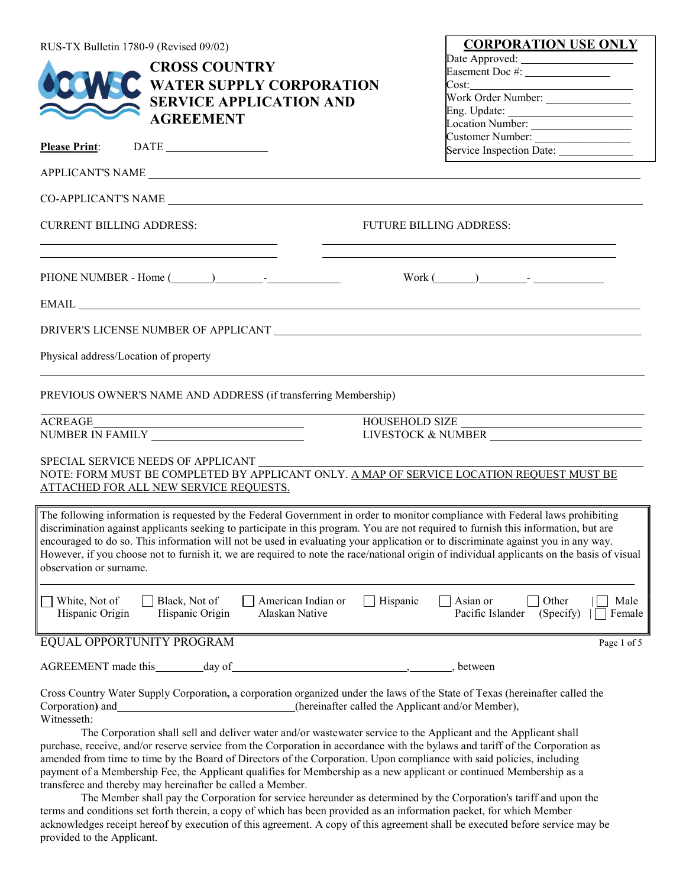| RUS-TX Bulletin 1780-9 (Revised 09/02) |                                                                                                                                                                                                                                                                                                                                                                                                                                                                                                                                                        |                                                                                                                                                                                                                                                                 | <b>CORPORATION USE ONLY</b>             |
|----------------------------------------|--------------------------------------------------------------------------------------------------------------------------------------------------------------------------------------------------------------------------------------------------------------------------------------------------------------------------------------------------------------------------------------------------------------------------------------------------------------------------------------------------------------------------------------------------------|-----------------------------------------------------------------------------------------------------------------------------------------------------------------------------------------------------------------------------------------------------------------|-----------------------------------------|
|                                        | <b>CROSS COUNTRY</b>                                                                                                                                                                                                                                                                                                                                                                                                                                                                                                                                   |                                                                                                                                                                                                                                                                 | Date Approved:                          |
|                                        | <b>WATER SUPPLY CORPORATION</b>                                                                                                                                                                                                                                                                                                                                                                                                                                                                                                                        |                                                                                                                                                                                                                                                                 | Easement Doc #: __________________      |
|                                        |                                                                                                                                                                                                                                                                                                                                                                                                                                                                                                                                                        |                                                                                                                                                                                                                                                                 | Work Order Number: _______________      |
|                                        | <b>SERVICE APPLICATION AND</b>                                                                                                                                                                                                                                                                                                                                                                                                                                                                                                                         |                                                                                                                                                                                                                                                                 |                                         |
|                                        | <b>AGREEMENT</b>                                                                                                                                                                                                                                                                                                                                                                                                                                                                                                                                       |                                                                                                                                                                                                                                                                 | Location Number: _________________      |
|                                        |                                                                                                                                                                                                                                                                                                                                                                                                                                                                                                                                                        |                                                                                                                                                                                                                                                                 |                                         |
| <b>Please Print:</b>                   |                                                                                                                                                                                                                                                                                                                                                                                                                                                                                                                                                        |                                                                                                                                                                                                                                                                 | Service Inspection Date: ______________ |
|                                        | APPLICANT'S NAME LATERATION CONTROL AND THE SERVICE OF THE SERVICE OF THE SERVICE OF THE SERVICE OF THE SERVICE OF THE SERVICE OF THE SERVICE OF THE SERVICE OF THE SERVICE OF THE SERVICE OF THE SERVICE OF THE SERVICE OF TH                                                                                                                                                                                                                                                                                                                         |                                                                                                                                                                                                                                                                 |                                         |
|                                        |                                                                                                                                                                                                                                                                                                                                                                                                                                                                                                                                                        |                                                                                                                                                                                                                                                                 |                                         |
| <b>CURRENT BILLING ADDRESS:</b>        | <u> 1989 - Johann Barn, mars eta bat erroman erroman erroman erroman erroman erroman erroman erroman erroman err</u>                                                                                                                                                                                                                                                                                                                                                                                                                                   | <b>FUTURE BILLING ADDRESS:</b><br>the control of the control of the control of the control of the control of the control of the control of the control of the control of the control of the control of the control of the control of the control of the control |                                         |
|                                        | <u> 1989 - Johann Stoff, amerikansk politiker (* 1908)</u>                                                                                                                                                                                                                                                                                                                                                                                                                                                                                             | $Work (\_\_)$ - $\_\_$                                                                                                                                                                                                                                          |                                         |
|                                        |                                                                                                                                                                                                                                                                                                                                                                                                                                                                                                                                                        |                                                                                                                                                                                                                                                                 |                                         |
|                                        |                                                                                                                                                                                                                                                                                                                                                                                                                                                                                                                                                        |                                                                                                                                                                                                                                                                 |                                         |
| Physical address/Location of property  |                                                                                                                                                                                                                                                                                                                                                                                                                                                                                                                                                        |                                                                                                                                                                                                                                                                 |                                         |
|                                        | PREVIOUS OWNER'S NAME AND ADDRESS (if transferring Membership)                                                                                                                                                                                                                                                                                                                                                                                                                                                                                         |                                                                                                                                                                                                                                                                 |                                         |
| <b>ACREAGE</b>                         |                                                                                                                                                                                                                                                                                                                                                                                                                                                                                                                                                        | HOUSEHOLD SIZE<br>LIVESTOCK & NUMBER                                                                                                                                                                                                                            |                                         |
|                                        |                                                                                                                                                                                                                                                                                                                                                                                                                                                                                                                                                        |                                                                                                                                                                                                                                                                 |                                         |
|                                        | SPECIAL SERVICE NEEDS OF APPLICANT                                                                                                                                                                                                                                                                                                                                                                                                                                                                                                                     |                                                                                                                                                                                                                                                                 |                                         |
|                                        | NOTE: FORM MUST BE COMPLETED BY APPLICANT ONLY. A MAP OF SERVICE LOCATION REQUEST MUST BE<br><b>ATTACHED FOR ALL NEW SERVICE REQUESTS.</b>                                                                                                                                                                                                                                                                                                                                                                                                             |                                                                                                                                                                                                                                                                 |                                         |
| observation or surname.                | The following information is requested by the Federal Government in order to monitor compliance with Federal laws prohibiting<br>discrimination against applicants seeking to participate in this program. You are not required to furnish this information, but are<br>encouraged to do so. This information will not be used in evaluating your application or to discriminate against you in any way.<br>However, if you choose not to furnish it, we are required to note the race/national origin of individual applicants on the basis of visual |                                                                                                                                                                                                                                                                 |                                         |
| White, Not of<br>Hispanic Origin       | Black, Not of<br>American Indian or<br>Hispanic Origin<br>Alaskan Native                                                                                                                                                                                                                                                                                                                                                                                                                                                                               | Hispanic<br>Asian or<br>Pacific Islander                                                                                                                                                                                                                        | Other<br>Male<br>(Specify)<br>Female    |
| EQUAL OPPORTUNITY PROGRAM              |                                                                                                                                                                                                                                                                                                                                                                                                                                                                                                                                                        |                                                                                                                                                                                                                                                                 | Page 1 of 5                             |
| AGREEMENT made this ________ day of    |                                                                                                                                                                                                                                                                                                                                                                                                                                                                                                                                                        | between                                                                                                                                                                                                                                                         |                                         |
| Corporation) and<br>Witnesseth:        | Cross Country Water Supply Corporation, a corporation organized under the laws of the State of Texas (hereinafter called the<br>(hereinafter called the Applicant and/or Member),<br>The Corporation shall sell and deliver water and/or wastewater service to the Applicant and the Applicant shall                                                                                                                                                                                                                                                   |                                                                                                                                                                                                                                                                 |                                         |
|                                        | purchase, receive, and/or reserve service from the Corporation in accordance with the bylaws and tariff of the Corporation as<br>amended from time to time by the Board of Directors of the Corporation. Upon compliance with said policies, including<br>payment of a Membership Fee, the Applicant qualifies for Membership as a new applicant or continued Membership as a<br>transferee and thereby may hereinafter be called a Member.                                                                                                            |                                                                                                                                                                                                                                                                 |                                         |

The Member shall pay the Corporation for service hereunder as determined by the Corporation's tariff and upon the terms and conditions set forth therein, a copy of which has been provided as an information packet, for which Member acknowledges receipt hereof by execution of this agreement. A copy of this agreement shall be executed before service may be provided to the Applicant.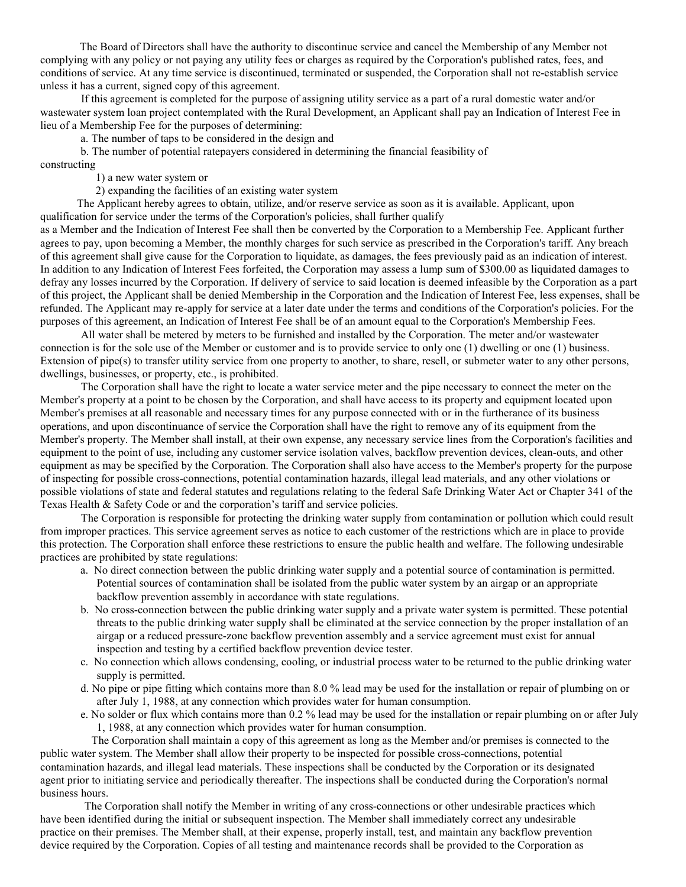The Board of Directors shall have the authority to discontinue service and cancel the Membership of any Member not complying with any policy or not paying any utility fees or charges as required by the Corporation's published rates, fees, and conditions of service. At any time service is discontinued, terminated or suspended, the Corporation shall not re-establish service unless it has a current, signed copy of this agreement.

If this agreement is completed for the purpose of assigning utility service as a part of a rural domestic water and/or wastewater system loan project contemplated with the Rural Development, an Applicant shall pay an Indication of Interest Fee in lieu of a Membership Fee for the purposes of determining:

a. The number of taps to be considered in the design and

b. The number of potential ratepayers considered in determining the financial feasibility of constructing

1) a new water system or

2) expanding the facilities of an existing water system

The Applicant hereby agrees to obtain, utilize, and/or reserve service as soon as it is available. Applicant, upon qualification for service under the terms of the Corporation's policies, shall further qualify

as a Member and the Indication of Interest Fee shall then be converted by the Corporation to a Membership Fee. Applicant further agrees to pay, upon becoming a Member, the monthly charges for such service as prescribed in the Corporation's tariff. Any breach of this agreement shall give cause for the Corporation to liquidate, as damages, the fees previously paid as an indication of interest. In addition to any Indication of Interest Fees forfeited, the Corporation may assess a lump sum of \$300.00 as liquidated damages to defray any losses incurred by the Corporation. If delivery of service to said location is deemed infeasible by the Corporation as a part of this project, the Applicant shall be denied Membership in the Corporation and the Indication of Interest Fee, less expenses, shall be refunded. The Applicant may re-apply for service at a later date under the terms and conditions of the Corporation's policies. For the purposes of this agreement, an Indication of Interest Fee shall be of an amount equal to the Corporation's Membership Fees.

All water shall be metered by meters to be furnished and installed by the Corporation. The meter and/or wastewater connection is for the sole use of the Member or customer and is to provide service to only one (1) dwelling or one (1) business. Extension of pipe(s) to transfer utility service from one property to another, to share, resell, or submeter water to any other persons, dwellings, businesses, or property, etc., is prohibited.

The Corporation shall have the right to locate a water service meter and the pipe necessary to connect the meter on the Member's property at a point to be chosen by the Corporation, and shall have access to its property and equipment located upon Member's premises at all reasonable and necessary times for any purpose connected with or in the furtherance of its business operations, and upon discontinuance of service the Corporation shall have the right to remove any of its equipment from the Member's property. The Member shall install, at their own expense, any necessary service lines from the Corporation's facilities and equipment to the point of use, including any customer service isolation valves, backflow prevention devices, clean-outs, and other equipment as may be specified by the Corporation. The Corporation shall also have access to the Member's property for the purpose of inspecting for possible cross-connections, potential contamination hazards, illegal lead materials, and any other violations or possible violations of state and federal statutes and regulations relating to the federal Safe Drinking Water Act or Chapter 341 of the Texas Health & Safety Code or and the corporation's tariff and service policies.

The Corporation is responsible for protecting the drinking water supply from contamination or pollution which could result from improper practices. This service agreement serves as notice to each customer of the restrictions which are in place to provide this protection. The Corporation shall enforce these restrictions to ensure the public health and welfare. The following undesirable practices are prohibited by state regulations:

- a. No direct connection between the public drinking water supply and a potential source of contamination is permitted. Potential sources of contamination shall be isolated from the public water system by an airgap or an appropriate backflow prevention assembly in accordance with state regulations.
- b. No cross-connection between the public drinking water supply and a private water system is permitted. These potential threats to the public drinking water supply shall be eliminated at the service connection by the proper installation of an airgap or a reduced pressure-zone backflow prevention assembly and a service agreement must exist for annual inspection and testing by a certified backflow prevention device tester.
- c. No connection which allows condensing, cooling, or industrial process water to be returned to the public drinking water supply is permitted.
- d. No pipe or pipe fitting which contains more than 8.0 % lead may be used for the installation or repair of plumbing on or after July 1, 1988, at any connection which provides water for human consumption.
- e. No solder or flux which contains more than 0.2 % lead may be used for the installation or repair plumbing on or after July 1, 1988, at any connection which provides water for human consumption.

The Corporation shall maintain a copy of this agreement as long as the Member and/or premises is connected to the

public water system. The Member shall allow their property to be inspected for possible cross-connections, potential contamination hazards, and illegal lead materials. These inspections shall be conducted by the Corporation or its designated agent prior to initiating service and periodically thereafter. The inspections shall be conducted during the Corporation's normal business hours.

The Corporation shall notify the Member in writing of any cross-connections or other undesirable practices which have been identified during the initial or subsequent inspection. The Member shall immediately correct any undesirable practice on their premises. The Member shall, at their expense, properly install, test, and maintain any backflow prevention device required by the Corporation. Copies of all testing and maintenance records shall be provided to the Corporation as